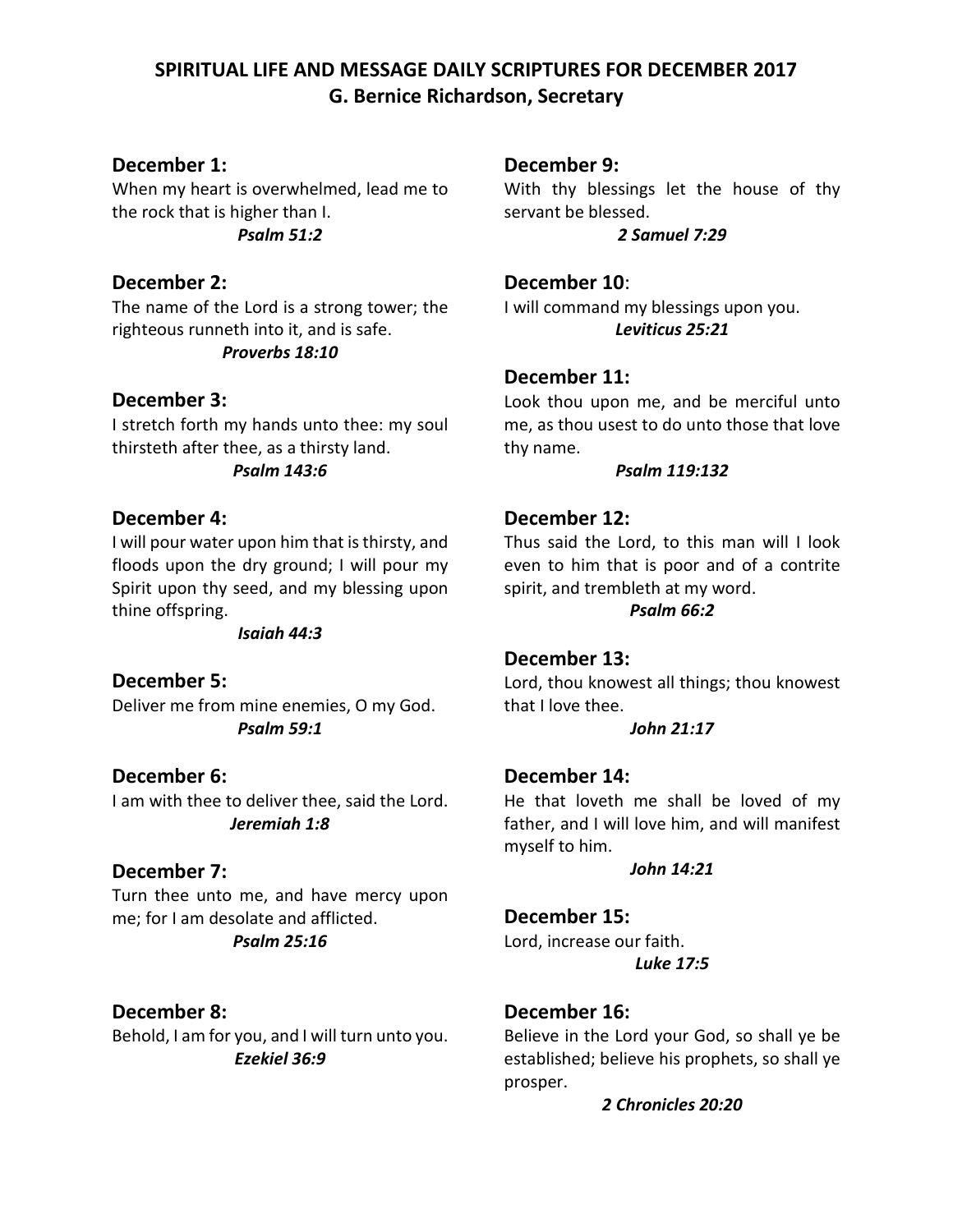# **SPIRITUAL LIFE AND MESSAGE DAILY SCRIPTURES FOR DECEMBER 2017 G. Bernice Richardson, Secretary**

## **December 1:**

When my heart is overwhelmed, lead me to the rock that is higher than I. *Psalm 51:2*

## **December 2:**

The name of the Lord is a strong tower; the righteous runneth into it, and is safe. *Proverbs 18:10*

## **December 3:**

I stretch forth my hands unto thee: my soul thirsteth after thee, as a thirsty land. *Psalm 143:6*

## **December 4:**

I will pour water upon him that is thirsty, and floods upon the dry ground; I will pour my Spirit upon thy seed, and my blessing upon thine offspring.

*Isaiah 44:3*

## **December 5:**

Deliver me from mine enemies, O my God. *Psalm 59:1*

## **December 6:**

I am with thee to deliver thee, said the Lord. *Jeremiah 1:8*

## **December 7:**

Turn thee unto me, and have mercy upon me; for I am desolate and afflicted. *Psalm 25:16*

## **December 8:**

Behold, I am for you, and I will turn unto you. *Ezekiel 36:9*

## **December 9:**

With thy blessings let the house of thy servant be blessed.

*2 Samuel 7:29*

**December 10**: I will command my blessings upon you. *Leviticus 25:21*

## **December 11:**

Look thou upon me, and be merciful unto me, as thou usest to do unto those that love thy name.

#### *Psalm 119:132*

## **December 12:**

Thus said the Lord, to this man will I look even to him that is poor and of a contrite spirit, and trembleth at my word.

*Psalm 66:2*

# **December 13:**

Lord, thou knowest all things; thou knowest that I love thee.

#### *John 21:17*

## **December 14:**

He that loveth me shall be loved of my father, and I will love him, and will manifest myself to him.

#### *John 14:21*

## **December 15:**

Lord, increase our faith. *Luke 17:5*

# **December 16:**

Believe in the Lord your God, so shall ye be established; believe his prophets, so shall ye prosper.

*2 Chronicles 20:20*